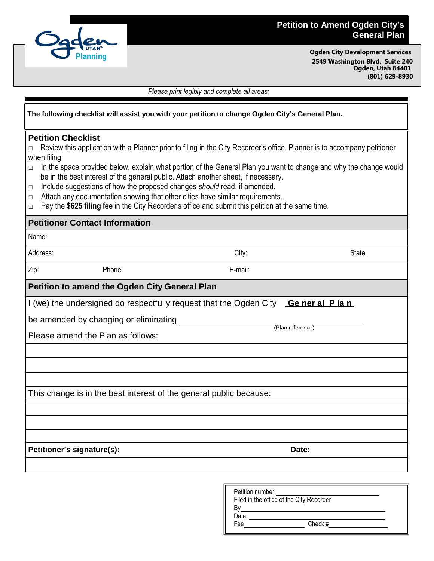

## **Petition to Amend Ogden City's General Plan**

**Ogden City Development Services 2549 Washington Blvd. Suite 240 Ogden, Utah 84401 (801) 629-8930**

*Please print legibly and complete all areas:*

| The following checklist will assist you with your petition to change Ogden City's General Plan.                                                                                                                                                                                                                                                                                                                                                                                                                                                                                                                                                                                       |         |                  |  |
|---------------------------------------------------------------------------------------------------------------------------------------------------------------------------------------------------------------------------------------------------------------------------------------------------------------------------------------------------------------------------------------------------------------------------------------------------------------------------------------------------------------------------------------------------------------------------------------------------------------------------------------------------------------------------------------|---------|------------------|--|
| <b>Petition Checklist</b><br>Review this application with a Planner prior to filing in the City Recorder's office. Planner is to accompany petitioner<br>when filing.<br>In the space provided below, explain what portion of the General Plan you want to change and why the change would<br>□<br>be in the best interest of the general public. Attach another sheet, if necessary.<br>Include suggestions of how the proposed changes should read, if amended.<br>$\Box$<br>Attach any documentation showing that other cities have similar requirements.<br>$\Box$<br>Pay the \$625 filing fee in the City Recorder's office and submit this petition at the same time.<br>$\Box$ |         |                  |  |
| <b>Petitioner Contact Information</b>                                                                                                                                                                                                                                                                                                                                                                                                                                                                                                                                                                                                                                                 |         |                  |  |
| Name:                                                                                                                                                                                                                                                                                                                                                                                                                                                                                                                                                                                                                                                                                 |         |                  |  |
| Address:                                                                                                                                                                                                                                                                                                                                                                                                                                                                                                                                                                                                                                                                              | City:   | State:           |  |
| Zip:<br>Phone:                                                                                                                                                                                                                                                                                                                                                                                                                                                                                                                                                                                                                                                                        | E-mail: |                  |  |
| Petition to amend the Ogden City General Plan                                                                                                                                                                                                                                                                                                                                                                                                                                                                                                                                                                                                                                         |         |                  |  |
| I (we) the undersigned do respectfully request that the Ogden City General Plan                                                                                                                                                                                                                                                                                                                                                                                                                                                                                                                                                                                                       |         |                  |  |
| be amended by changing or eliminating                                                                                                                                                                                                                                                                                                                                                                                                                                                                                                                                                                                                                                                 |         |                  |  |
| Please amend the Plan as follows:                                                                                                                                                                                                                                                                                                                                                                                                                                                                                                                                                                                                                                                     |         | (Plan reference) |  |
|                                                                                                                                                                                                                                                                                                                                                                                                                                                                                                                                                                                                                                                                                       |         |                  |  |
|                                                                                                                                                                                                                                                                                                                                                                                                                                                                                                                                                                                                                                                                                       |         |                  |  |
|                                                                                                                                                                                                                                                                                                                                                                                                                                                                                                                                                                                                                                                                                       |         |                  |  |
| This change is in the best interest of the general public because:                                                                                                                                                                                                                                                                                                                                                                                                                                                                                                                                                                                                                    |         |                  |  |
|                                                                                                                                                                                                                                                                                                                                                                                                                                                                                                                                                                                                                                                                                       |         |                  |  |
|                                                                                                                                                                                                                                                                                                                                                                                                                                                                                                                                                                                                                                                                                       |         |                  |  |
| Petitioner's signature(s):                                                                                                                                                                                                                                                                                                                                                                                                                                                                                                                                                                                                                                                            |         | Date:            |  |
|                                                                                                                                                                                                                                                                                                                                                                                                                                                                                                                                                                                                                                                                                       |         |                  |  |
|                                                                                                                                                                                                                                                                                                                                                                                                                                                                                                                                                                                                                                                                                       |         |                  |  |
|                                                                                                                                                                                                                                                                                                                                                                                                                                                                                                                                                                                                                                                                                       |         |                  |  |

| Petition number:                         |  |
|------------------------------------------|--|
| Filed in the office of the City Recorder |  |
|                                          |  |
| Date                                     |  |
| Check #<br>Fee                           |  |